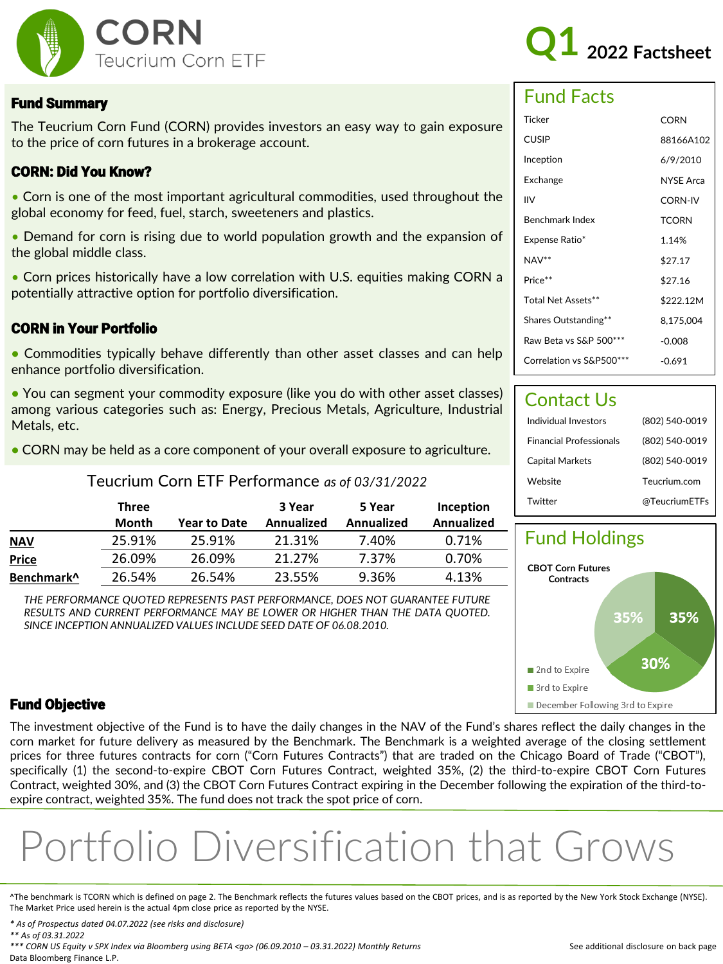

# **Q1 2022 Factsheet**

#### Fund Summary

The Teucrium Corn Fund (CORN) provides investors an easy way to gain exposure to the price of corn futures in a brokerage account.

#### CORN: Did You Know?

• Corn is one of the most important agricultural commodities, used throughout the global economy for feed, fuel, starch, sweeteners and plastics.

• Demand for corn is rising due to world population growth and the expansion of the global middle class.

• Corn prices historically have a low correlation with U.S. equities making CORN a potentially attractive option for portfolio diversification.

#### CORN in Your Portfolio

**•** Commodities typically behave differently than other asset classes and can help enhance portfolio diversification.

**•** You can segment your commodity exposure (like you do with other asset classes) among various categories such as: Energy, Precious Metals, Agriculture, Industrial Metals, etc.

**•** CORN may be held as a core component of your overall exposure to agriculture.

#### Teucrium Corn ETF Performance *as of 03/31/2022*

|                        | Three  |                     | 3 Year            | 5 Year            | Inception  |
|------------------------|--------|---------------------|-------------------|-------------------|------------|
|                        | Month  | <b>Year to Date</b> | <b>Annualized</b> | <b>Annualized</b> | Annualized |
| <b>NAV</b>             | 25.91% | 25.91%              | 21.31%            | 7.40%             | 0.71%      |
| <b>Price</b>           | 26.09% | 26.09%              | 21.27%            | 7.37%             | 0.70%      |
| Benchmark <sup>^</sup> | 26.54% | 26.54%              | 23.55%            | 9.36%             | 4.13%      |

*THE PERFORMANCE QUOTED REPRESENTS PAST PERFORMANCE, DOES NOT GUARANTEE FUTURE RESULTS AND CURRENT PERFORMANCE MAY BE LOWER OR HIGHER THAN THE DATA QUOTED. SINCE INCEPTION ANNUALIZED VALUES INCLUDE SEED DATE OF 06.08.2010.*

### Fund Facts

| Ticker                   | CORN             |
|--------------------------|------------------|
| <b>CUSIP</b>             | 88166A102        |
| Inception                | 6/9/2010         |
| Exchange                 | <b>NYSE Arca</b> |
| IIV                      | <b>CORN-IV</b>   |
| Benchmark Index          | <b>TCORN</b>     |
| Expense Ratio*           | 1.14%            |
| $NAV**$                  | \$27.17          |
| Price**                  | \$27.16          |
| Total Net Assets**       | \$222.12M        |
| Shares Outstanding**     | 8,175,004        |
| Raw Beta vs S&P 500***   | $-0.008$         |
| Correlation vs S&P500*** | -0.691           |

### Contact Us

| Individual Investors           | (802) 540-0019 |
|--------------------------------|----------------|
| <b>Financial Professionals</b> | (802) 540-0019 |
| Capital Markets                | (802) 540-0019 |
| Website                        | Teucrium.com   |
| Twitter                        | @TeucriumETFs  |



#### Fund Objective

The investment objective of the Fund is to have the daily changes in the NAV of the Fund's shares reflect the daily changes in the corn market for future delivery as measured by the Benchmark. The Benchmark is a weighted average of the closing settlement prices for three futures contracts for corn ("Corn Futures Contracts") that are traded on the Chicago Board of Trade ("CBOT"), specifically (1) the second-to-expire CBOT Corn Futures Contract, weighted 35%, (2) the third-to-expire CBOT Corn Futures Contract, weighted 30%, and (3) the CBOT Corn Futures Contract expiring in the December following the expiration of the third-toexpire contract, weighted 35%. The fund does not track the spot price of corn.

# Portfolio Diversification that Grows

^The benchmark is TCORN which is defined on page 2. The Benchmark reflects the futures values based on the CBOT prices, and is as reported by the New York Stock Exchange (NYSE). The Market Price used herein is the actual 4pm close price as reported by the NYSE.

*\* As of Prospectus dated 04.07.2022 (see risks and disclosure)*

*\*\* As of 03.31.2022* 

*\*\*\* CORN US Equity v SPX Index via Bloomberg using BETA <go> (06.09.2010 – 03.31.2022) Monthly Returns* Data Bloomberg Finance L.P.